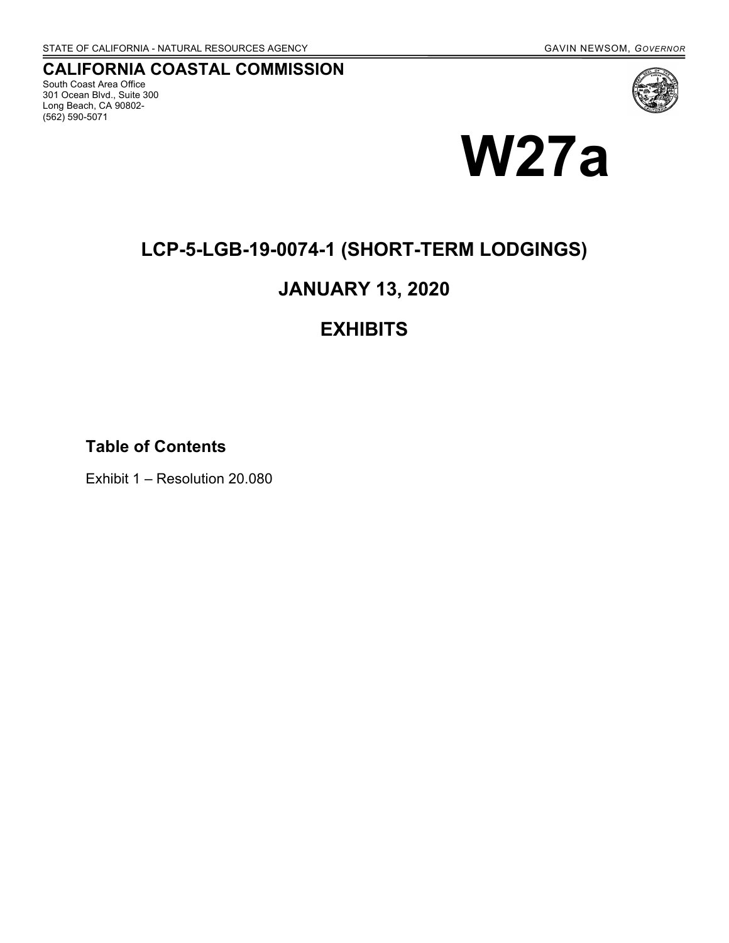# **CALIFORNIA COASTAL COMMISSION**

South Coast Area Office 301 Ocean Blvd., Suite 300 Long Beach, CA 90802- (562) 590-5071



# **W27a**

# **LCP-5-LGB-19-0074-1 (SHORT-TERM LODGINGS)**

# **JANUARY 13, 2020**

# **EXHIBITS**

**Table of Contents**

Exhibit 1 – Resolution 20.080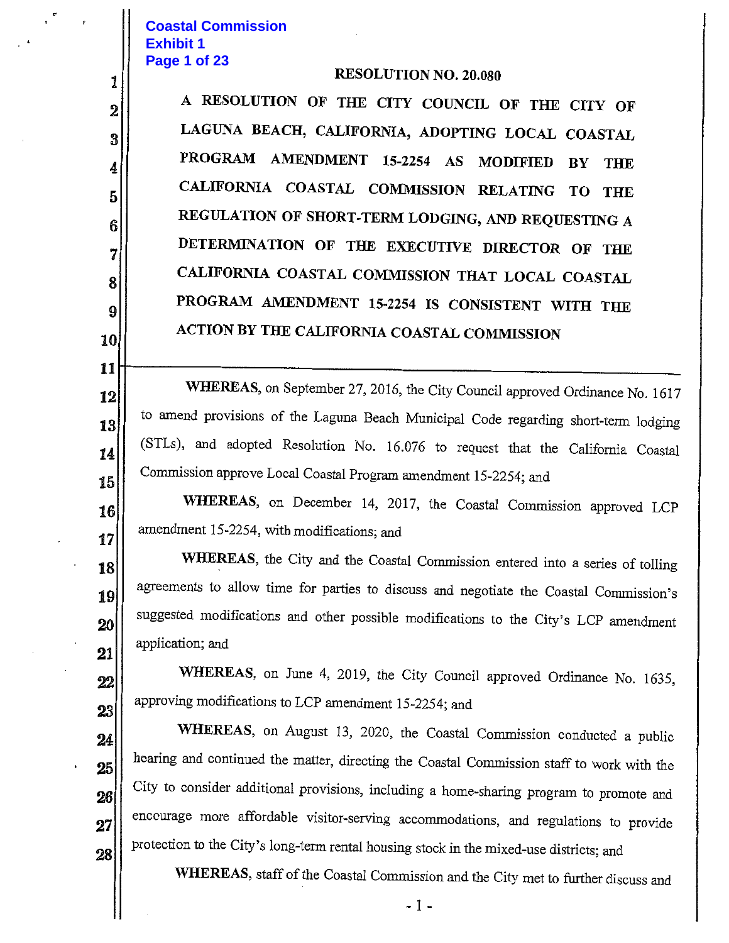### **Coastal Commission Exhibit 1** Page 1 of 23

1

 $\overline{2}$ 

3

4

5

6

7

8

9

10

11

12

13

14

15

16

17

18

19

 $20<sup>1</sup>$ 

21

22

23

24

25

26

27

28

#### **RESOLUTION NO. 20.080**

A RESOLUTION OF THE CITY COUNCIL OF THE CITY OF LAGUNA BEACH, CALIFORNIA, ADOPTING LOCAL COASTAL PROGRAM AMENDMENT 15-2254 AS MODIFIED BY THE CALIFORNIA COASTAL COMMISSION RELATING TO THE REGULATION OF SHORT-TERM LODGING, AND REQUESTING A DETERMINATION OF THE EXECUTIVE DIRECTOR OF THE CALIFORNIA COASTAL COMMISSION THAT LOCAL COASTAL PROGRAM AMENDMENT 15-2254 IS CONSISTENT WITH THE ACTION BY THE CALIFORNIA COASTAL COMMISSION

WHEREAS, on September 27, 2016, the City Council approved Ordinance No. 1617 to amend provisions of the Laguna Beach Municipal Code regarding short-term lodging (STLs), and adopted Resolution No. 16.076 to request that the California Coastal Commission approve Local Coastal Program amendment 15-2254; and

WHEREAS, on December 14, 2017, the Coastal Commission approved LCP amendment 15-2254, with modifications; and

WHEREAS, the City and the Coastal Commission entered into a series of tolling agreements to allow time for parties to discuss and negotiate the Coastal Commission's suggested modifications and other possible modifications to the City's LCP amendment application; and

WHEREAS, on June 4, 2019, the City Council approved Ordinance No. 1635, approving modifications to LCP amendment 15-2254; and

WHEREAS, on August 13, 2020, the Coastal Commission conducted a public hearing and continued the matter, directing the Coastal Commission staff to work with the City to consider additional provisions, including a home-sharing program to promote and encourage more affordable visitor-serving accommodations, and regulations to provide protection to the City's long-term rental housing stock in the mixed-use districts; and

WHEREAS, staff of the Coastal Commission and the City met to further discuss and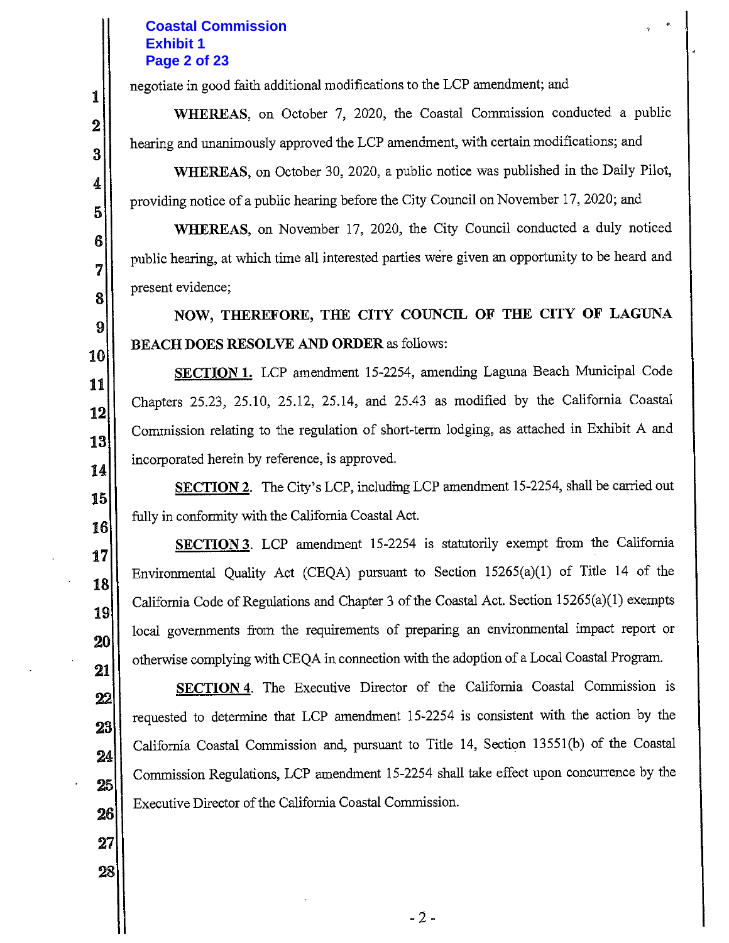## **Coastal Commission Exhibit 1** Page 2 of 23

negotiate in good faith additional modifications to the LCP amendment; and

WHEREAS, on October 7, 2020, the Coastal Commission conducted a public hearing and unanimously approved the LCP amendment, with certain modifications; and

**WHEREAS**, on October 30, 2020, a public notice was published in the Daily Pilot, providing notice of a public hearing before the City Council on November 17, 2020; and

WHEREAS, on November 17, 2020, the City Council conducted a duly noticed public hearing, at which time all interested parties were given an opportunity to be heard and present evidence;

NOW, THEREFORE, THE CITY COUNCIL OF THE CITY OF LAGUNA **BEACH DOES RESOLVE AND ORDER as follows:** 

SECTION 1. LCP amendment 15-2254, amending Laguna Beach Municipal Code Chapters 25.23, 25.10, 25.12, 25.14, and 25.43 as modified by the California Coastal Commission relating to the regulation of short-term lodging, as attached in Exhibit A and incorporated herein by reference, is approved.

SECTION 2. The City's LCP, including LCP amendment 15-2254, shall be carried out fully in conformity with the California Coastal Act.

SECTION 3. LCP amendment 15-2254 is statutorily exempt from the California Environmental Quality Act (CEQA) pursuant to Section 15265(a)(1) of Title 14 of the California Code of Regulations and Chapter 3 of the Coastal Act. Section 15265(a)(1) exempts local governments from the requirements of preparing an environmental impact report or otherwise complying with CEQA in connection with the adoption of a Local Coastal Program.

**SECTION 4.** The Executive Director of the California Coastal Commission is requested to determine that LCP amendment 15-2254 is consistent with the action by the California Coastal Commission and, pursuant to Title 14, Section 13551(b) of the Coastal Commission Regulations, LCP amendment 15-2254 shall take effect upon concurrence by the Executive Director of the California Coastal Commission.

28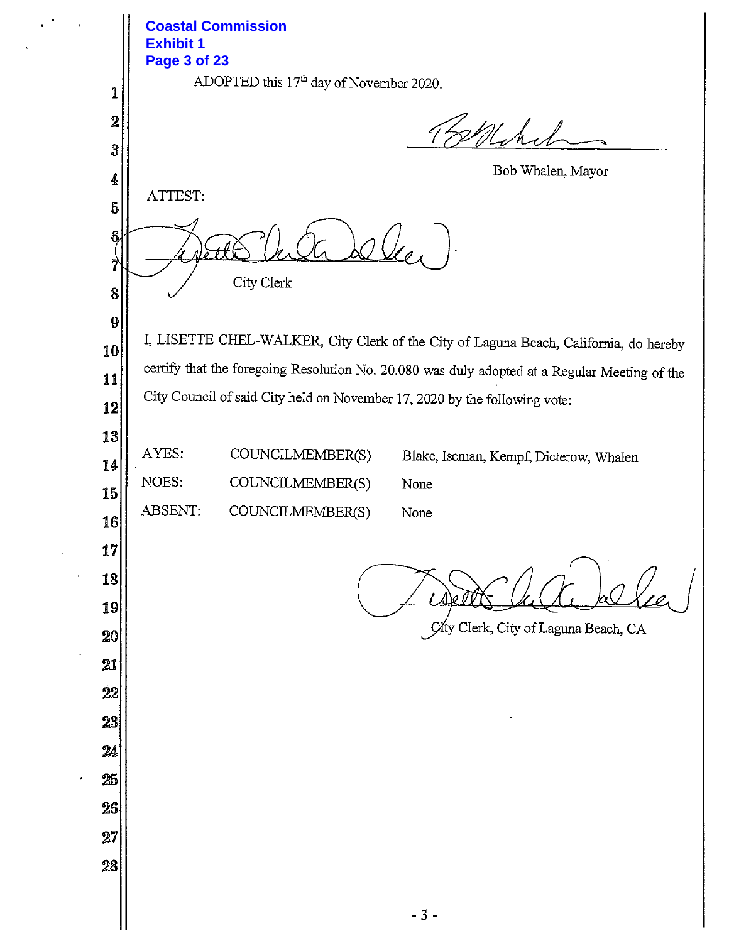**Coastal Commission Exhibit 1 Page 3 of 23**ADOPTED this 17<sup>th</sup> day of November 2020. 1  $\boldsymbol{2}$ Whichel 3 Bob Whalen, Mayor 4 ATTEST:  $\overline{5}$ 6  $\mathcal{O}\left( \frac{1}{2} \right)$ 7 City Clerk 8 9 I, LISETTE CHEL-WALKER, City Clerk of the City of Laguna Beach, California, do hereby 10 certify that the foregoing Resolution No. 20.080 was duly adopted at a Regular Meeting of the 11 City Council of said City held on November 17, 2020 by the following vote: 12 13 AYES: COUNCILMEMBER(S) Blake, Iseman, Kempf, Dicterow, Whalen 14 NOES: COUNCILMEMBER(S) None 15 ABSENT: COUNCILMEMBER(S) None 16 17 18 19 City Clerk, City of Laguna Beach, CA 20 21  $22$ 23 24 25 26  $27$ 28  $-3-$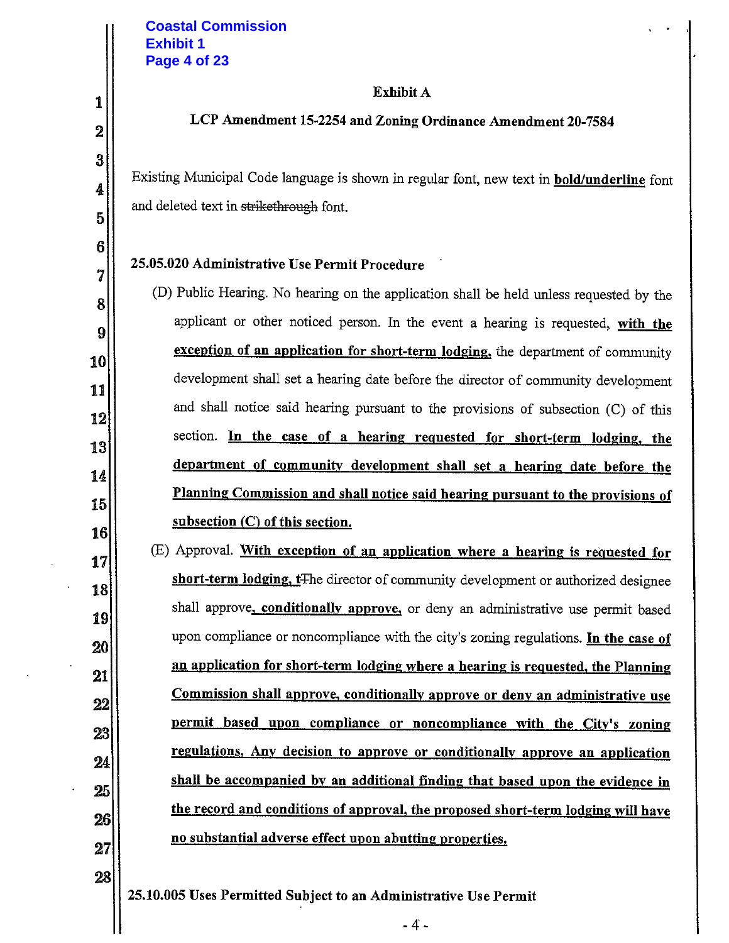1

 $\boldsymbol{2}$ 

3

4

5

6

7

8

9

10

11

12

13

14

15

16

17

18

19

20

21

 $22$ 

23

24

25

26

27

#### **Exhibit A**

#### LCP Amendment 15-2254 and Zoning Ordinance Amendment 20-7584

Existing Municipal Code language is shown in regular font, new text in **bold/underline** font and deleted text in strikethrough font.

#### 25.05.020 Administrative Use Permit Procedure

(D) Public Hearing. No hearing on the application shall be held unless requested by the applicant or other noticed person. In the event a hearing is requested, with the exception of an application for short-term lodging, the department of community development shall set a hearing date before the director of community development and shall notice said hearing pursuant to the provisions of subsection (C) of this section. In the case of a hearing requested for short-term lodging, the department of community development shall set a hearing date before the Planning Commission and shall notice said hearing pursuant to the provisions of subsection  $(C)$  of this section.

 $(E)$  Approval. With exception of an application where a hearing is requested for short-term lodging, t<sub>The director of community development or authorized designee</sub> shall approve, conditionally approve, or deny an administrative use permit based upon compliance or noncompliance with the city's zoning regulations. In the case of an application for short-term lodging where a hearing is requested, the Planning Commission shall approve, conditionally approve or deny an administrative use permit based upon compliance or noncompliance with the City's zoning regulations. Any decision to approve or conditionally approve an application shall be accompanied by an additional finding that based upon the evidence in the record and conditions of approval, the proposed short-term lodging will have no substantial adverse effect upon abutting properties.

28

25.10.005 Uses Permitted Subject to an Administrative Use Permit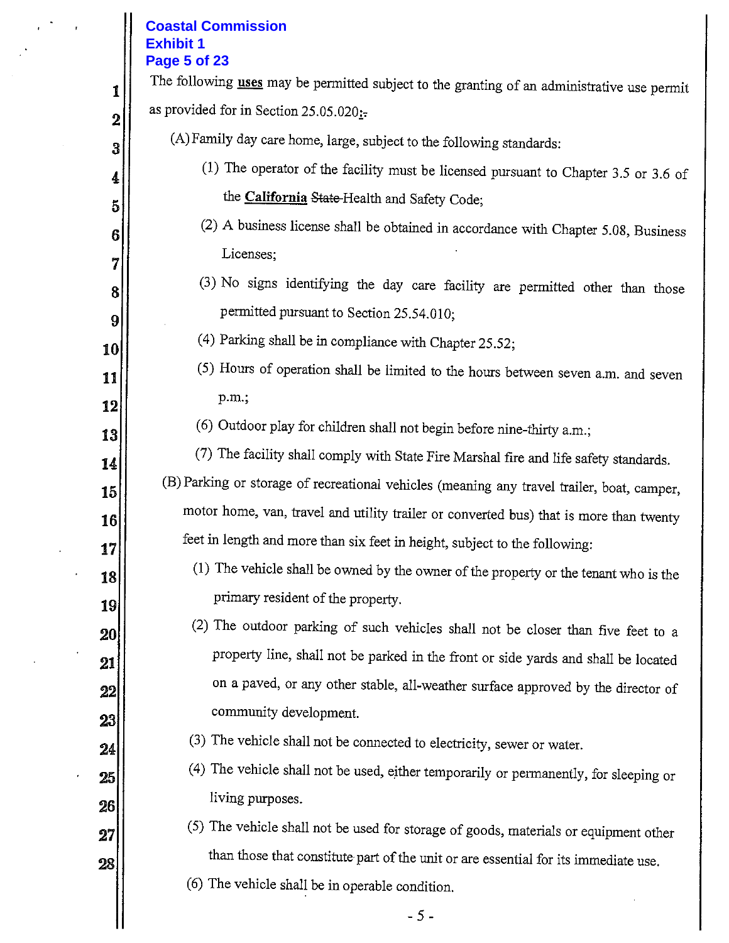# **Coastal Commission Exhibit 1**

 $\overline{1}$ 

|                     | <b>Page 5 of 23</b><br>The following uses may be permitted subject to the granting of an administrative use permit |
|---------------------|--------------------------------------------------------------------------------------------------------------------|
| 1<br>$\overline{2}$ | as provided for in Section 25.05.020;-                                                                             |
| 3                   | (A) Family day care home, large, subject to the following standards:                                               |
| 4                   | (1) The operator of the facility must be licensed pursuant to Chapter 3.5 or 3.6 of                                |
| 5                   | the <b>California State</b> -Health and Safety Code;                                                               |
| 6                   | (2) A business license shall be obtained in accordance with Chapter 5.08, Business                                 |
| 7                   | Licenses;                                                                                                          |
| 8                   | (3) No signs identifying the day care facility are permitted other than those                                      |
| 9                   | permitted pursuant to Section 25.54.010;                                                                           |
| 10                  | (4) Parking shall be in compliance with Chapter 25.52;                                                             |
| 11                  | (5) Hours of operation shall be limited to the hours between seven a.m. and seven                                  |
| 12                  | p.m.,                                                                                                              |
| 13                  | (6) Outdoor play for children shall not begin before nine-thirty a.m.;                                             |
| 14                  | (7) The facility shall comply with State Fire Marshal fire and life safety standards.                              |
| 15                  | (B) Parking or storage of recreational vehicles (meaning any travel trailer, boat, camper,                         |
| 16                  | motor home, van, travel and utility trailer or converted bus) that is more than twenty                             |
| 17                  | feet in length and more than six feet in height, subject to the following:                                         |
| 18                  | (1) The vehicle shall be owned by the owner of the property or the tenant who is the                               |
| 19                  | primary resident of the property.                                                                                  |
| 20                  | The outdoor parking of such vehicles shall not be closer than five feet to a<br>(2)                                |
| 21                  | property line, shall not be parked in the front or side yards and shall be located                                 |
| 22                  | on a paved, or any other stable, all-weather surface approved by the director of                                   |
| 23                  | community development.                                                                                             |
| 24                  | (3) The vehicle shall not be connected to electricity, sewer or water.                                             |
| 25                  | (4) The vehicle shall not be used, either temporarily or permanently, for sleeping or                              |
| 26                  | living purposes.                                                                                                   |
| 27                  | (5) The vehicle shall not be used for storage of goods, materials or equipment other                               |
| 28                  | than those that constitute part of the unit or are essential for its immediate use.                                |
|                     | (6) The vehicle shall be in operable condition.                                                                    |
|                     | $-5-$                                                                                                              |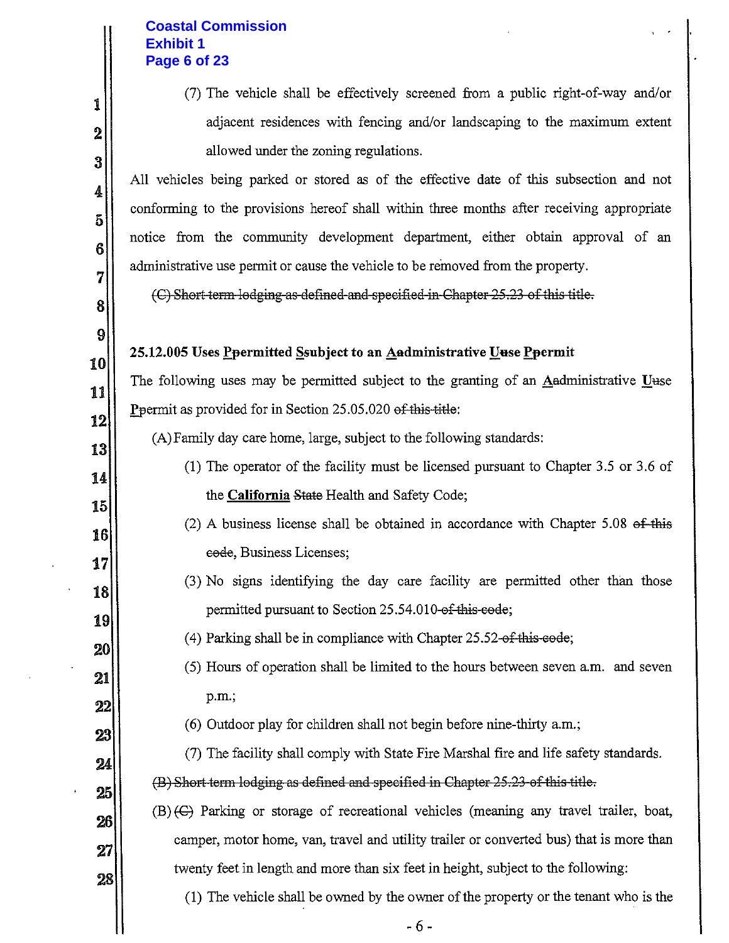## **Coastal Commission Exhibit 1** Page 6 of 23

1

 $\overline{\mathbf{2}}$ 

3

4

5

 $\boldsymbol{6}$ 

7

8

9

10

11

12

13

14

15

16

17

18

19

20

21

22

23

24

25

26

 $\bf 27$ 

28

(7) The vehicle shall be effectively screened from a public right-of-way and/or adjacent residences with fencing and/or landscaping to the maximum extent allowed under the zoning regulations.

All vehicles being parked or stored as of the effective date of this subsection and not conforming to the provisions hereof shall within three months after receiving appropriate notice from the community development department, either obtain approval of an administrative use permit or cause the vehicle to be removed from the property.

(C) Short term lodging as defined and specified in Chapter 25.23 of this title.

# 25.12.005 Uses Permitted Saubject to an Aadministrative Uuse Peermit

The following uses may be permitted subject to the granting of an Aadministrative Uuse Ppermit as provided for in Section 25.05.020 of this title:

(A) Family day care home, large, subject to the following standards:

- (1) The operator of the facility must be licensed pursuant to Chapter 3.5 or 3.6 of the **California** State Health and Safety Code;
	- (2) A business license shall be obtained in accordance with Chapter  $5.08$  ef this eode, Business Licenses;
	- (3) No signs identifying the day care facility are permitted other than those permitted pursuant to Section 25.54.010-of-this-code;
- (4) Parking shall be in compliance with Chapter  $25.52$ -of-this-code;
- (5) Hours of operation shall be limited to the hours between seven a.m. and seven p.m.;
- (6) Outdoor play for children shall not begin before nine-thirty a.m.;
- (7) The facility shall comply with State Fire Marshal fire and life safety standards. (B) Short term lodging as defined and specified in Chapter 25.23 of this title.
- $(B)$  (G) Parking or storage of recreational vehicles (meaning any travel trailer, boat, camper, motor home, van, travel and utility trailer or converted bus) that is more than twenty feet in length and more than six feet in height, subject to the following:

(1) The vehicle shall be owned by the owner of the property or the tenant who is the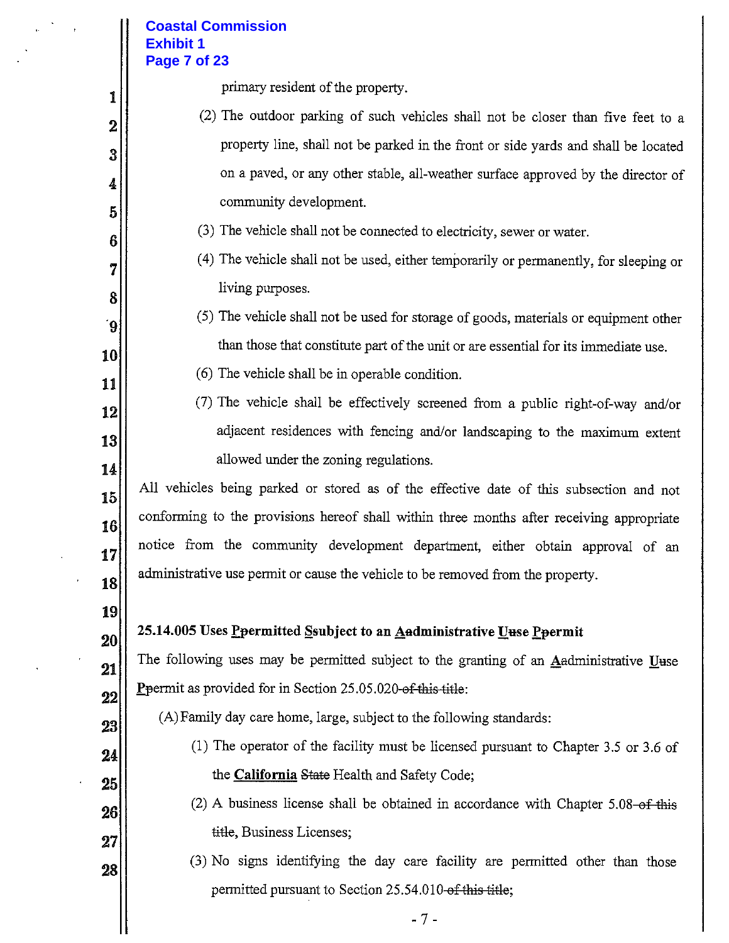### **Coastal Commission Exhibit 1** Page 7 of 23

primary resident of the property.

- (2) The outdoor parking of such vehicles shall not be closer than five feet to a property line, shall not be parked in the front or side yards and shall be located on a paved, or any other stable, all-weather surface approved by the director of community development.
- (3) The vehicle shall not be connected to electricity, sewer or water.
- (4) The vehicle shall not be used, either temporarily or permanently, for sleeping or living purposes.
- (5) The vehicle shall not be used for storage of goods, materials or equipment other than those that constitute part of the unit or are essential for its immediate use.
- (6) The vehicle shall be in operable condition.
- (7) The vehicle shall be effectively screened from a public right-of-way and/or adjacent residences with fencing and/or landscaping to the maximum extent allowed under the zoning regulations.

All vehicles being parked or stored as of the effective date of this subsection and not conforming to the provisions hereof shall within three months after receiving appropriate notice from the community development department, either obtain approval of an administrative use permit or cause the vehicle to be removed from the property.

18 19

20

21

 $22$ 

23

24

25

26

 $27$ 

28

1

 $\overline{2}$ 

3

4

5

6

7

8

9

10

11

12

13

14

15

16

17

#### 25.14.005 Uses Peermitted Ssubject to an Aadministrative Uuse Peermit

The following uses may be permitted subject to the granting of an Aadministrative Uuse Ppermit as provided for in Section 25.05.020-of this title:

(A) Family day care home, large, subject to the following standards:

- (1) The operator of the facility must be licensed pursuant to Chapter 3.5 or 3.6 of the California State Health and Safety Code;
- (2) A business license shall be obtained in accordance with Chapter 5.08-of this title, Business Licenses;
- (3) No signs identifying the day care facility are permitted other than those permitted pursuant to Section 25.54.010-of-this title;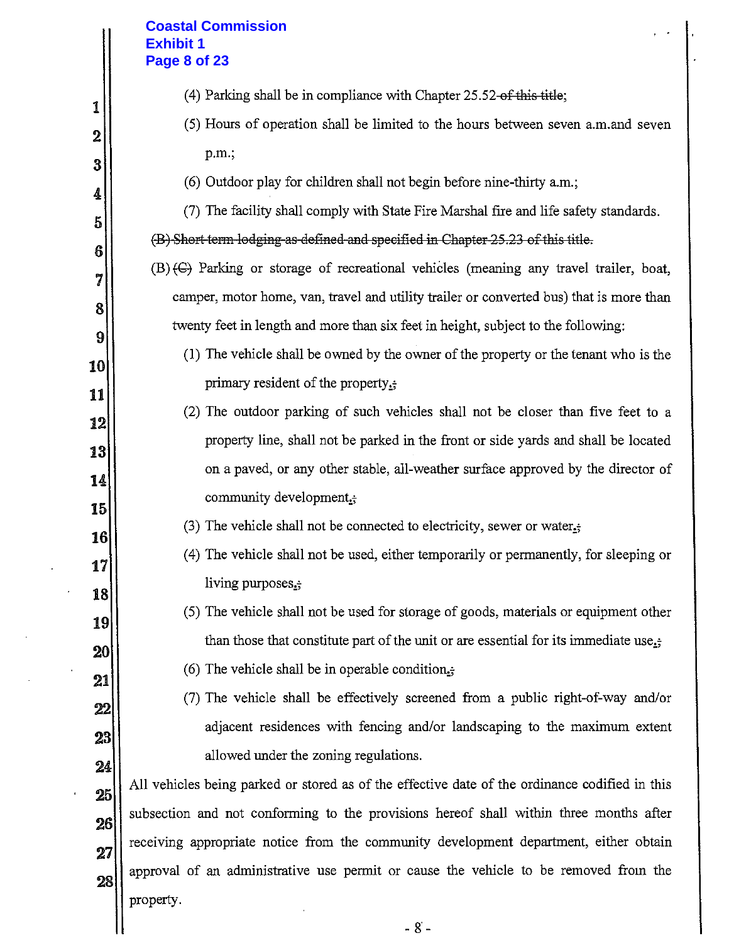#### **Coastal Commission Exhibit 1** Page 8 of 23

1

 $\mathbf 2$ 

3

4

5

6

7

8

9

10

11

 $12<sup>1</sup>$ 

13

14

15

16

17

18

19

20

 $21\,$ 

 $22\,$ 

23

24

25

26

27

28

- (4) Parking shall be in compliance with Chapter  $25.52$ -of this title;
- (5) Hours of operation shall be limited to the hours between seven a.m.and seven p.m.;
- (6) Outdoor play for children shall not begin before nine-thirty a.m.;

(7) The facility shall comply with State Fire Marshal fire and life safety standards. (B) Short term lodging as defined and specified in Chapter 25.23 of this title.

- (B) (C) Parking or storage of recreational vehicles (meaning any travel trailer, boat, camper, motor home, van, travel and utility trailer or converted bus) that is more than twenty feet in length and more than six feet in height, subject to the following:
	- (1) The vehicle shall be owned by the owner of the property or the tenant who is the primary resident of the property.
	- (2) The outdoor parking of such vehicles shall not be closer than five feet to a property line, shall not be parked in the front or side yards and shall be located on a paved, or any other stable, all-weather surface approved by the director of community development<sub>is</sub>
		- (3) The vehicle shall not be connected to electricity, sewer or water.
		- (4) The vehicle shall not be used, either temporarily or permanently, for sleeping or living purposes.
		- (5) The vehicle shall not be used for storage of goods, materials or equipment other than those that constitute part of the unit or are essential for its immediate use.
		- (6) The vehicle shall be in operable condition.
		- (7) The vehicle shall be effectively screened from a public right-of-way and/or adjacent residences with fencing and/or landscaping to the maximum extent allowed under the zoning regulations.

All vehicles being parked or stored as of the effective date of the ordinance codified in this subsection and not conforming to the provisions hereof shall within three months after receiving appropriate notice from the community development department, either obtain approval of an administrative use permit or cause the vehicle to be removed from the property.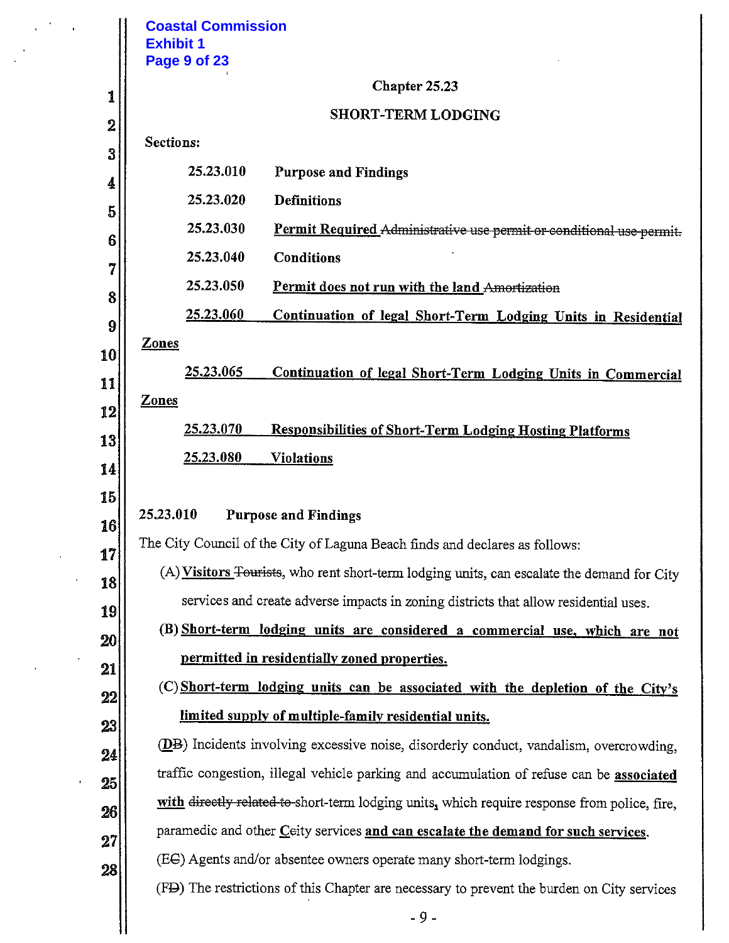|    | <b>Coastal Commission</b><br><b>Exhibit 1</b><br>Page 9 of 23                                 |
|----|-----------------------------------------------------------------------------------------------|
| 1  | Chapter 25.23                                                                                 |
| 2  | <b>SHORT-TERM LODGING</b>                                                                     |
| 3  | Sections:                                                                                     |
| 4  | 25.23.010<br><b>Purpose and Findings</b>                                                      |
| 5  | 25.23.020<br><b>Definitions</b>                                                               |
| 6  | 25.23.030<br>Permit Required Administrative use permit or conditional use permit.             |
| 7  | 25.23.040<br><b>Conditions</b>                                                                |
| 8  | 25.23.050<br>Permit does not run with the land Amortization                                   |
| 9  | 25.23.060<br>Continuation of legal Short-Term Lodging Units in Residential                    |
| 10 | <b>Zones</b>                                                                                  |
| 11 | 25.23.065<br>Continuation of legal Short-Term Lodging Units in Commercial                     |
| 12 | <b>Zones</b>                                                                                  |
| 13 | <u>25.23.070</u><br><b>Responsibilities of Short-Term Lodging Hosting Platforms</b>           |
| 14 | <u>25.23.080</u><br><u>Violations</u>                                                         |
| 15 |                                                                                               |
| 16 | 25.23.010<br><b>Purpose and Findings</b>                                                      |
| 17 | The City Council of the City of Laguna Beach finds and declares as follows:                   |
| 18 | (A) Visitors Fourists, who rent short-term lodging units, can escalate the demand for City    |
| 19 | services and create adverse impacts in zoning districts that allow residential uses.          |
| 20 | (B) Short-term lodging units are considered a commercial use, which are not                   |
| 21 | permitted in residentially zoned properties.                                                  |
| 22 | (C) Short-term lodging units can be associated with the depletion of the City's               |
| 23 | limited supply of multiple-family residential units.                                          |
| 24 | <b>(DB)</b> Incidents involving excessive noise, disorderly conduct, vandalism, overcrowding, |
| 25 | traffic congestion, illegal vehicle parking and accumulation of refuse can be associated      |
| 26 | with directly related to short-term lodging units, which require response from police, fire,  |
| 27 | paramedic and other Ceity services and can escalate the demand for such services.             |
| 28 | (EC) Agents and/or absentee owners operate many short-term lodgings.                          |
|    | (FD) The restrictions of this Chapter are necessary to prevent the burden on City services    |
|    | $-9-$                                                                                         |
|    |                                                                                               |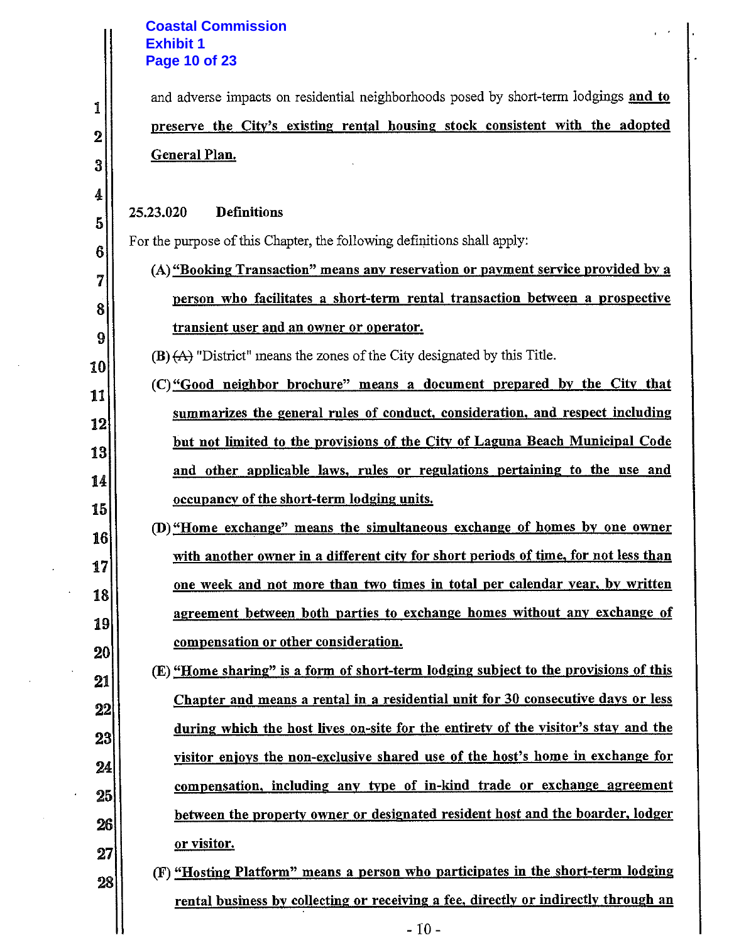## **Coastal Commission Exhibit 1 Page 10 of 23**

 $\sim$ 

l.

 $\hat{\mathbf{r}}$ 

|                  | <b>Coastal Commission</b><br><b>Exhibit 1</b>                                        |
|------------------|--------------------------------------------------------------------------------------|
|                  | <b>Page 10 of 23</b>                                                                 |
|                  |                                                                                      |
| 1                | and adverse impacts on residential neighborhoods posed by short-term lodgings and to |
| $\boldsymbol{2}$ | preserve the City's existing rental housing stock consistent with the adopted        |
| 3                | General Plan.                                                                        |
| 4                |                                                                                      |
| 5                | <b>Definitions</b><br>25.23.020                                                      |
| 6                | For the purpose of this Chapter, the following definitions shall apply:              |
| 7                | (A) "Booking Transaction" means any reservation or payment service provided by a     |
| 8                | person who facilitates a short-term rental transaction between a prospective         |
| 9                | transient user and an owner or operator.                                             |
| 10               | $(B)$ $(A)$ "District" means the zones of the City designated by this Title.         |
| 11               | (C) "Good neighbor brochure" means a document prepared by the City that              |
| 12               | summarizes the general rules of conduct, consideration, and respect including        |
| 13               | but not limited to the provisions of the City of Laguna Beach Municipal Code         |
| 14               | and other applicable laws, rules or regulations pertaining to the use and            |
| 15               | occupancy of the short-term lodging units.                                           |
| 16               | (D) "Home exchange" means the simultaneous exchange of homes by one owner            |
| 17               | with another owner in a different city for short periods of time, for not less than  |
| 18               | one week and not more than two times in total per calendar year, by written          |
| 19               | agreement between both parties to exchange homes without any exchange of             |
| 20               | compensation or other consideration.                                                 |
| 21               | (E) "Home sharing" is a form of short-term lodging subject to the provisions of this |
| 22               | Chapter and means a rental in a residential unit for 30 consecutive days or less     |
| 23               | during which the host lives on-site for the entirety of the visitor's stay and the   |
| 24               | visitor enjoys the non-exclusive shared use of the host's home in exchange for       |
| 25               | compensation, including any type of in-kind trade or exchange agreement              |
| 26               | between the property owner or designated resident host and the boarder, lodger       |
| 27               | or visitor.                                                                          |
| 28               | (F) "Hosting Platform" means a person who participates in the short-term lodging     |
|                  | rental business by collecting or receiving a fee, directly or indirectly through an  |
|                  | $-10-$                                                                               |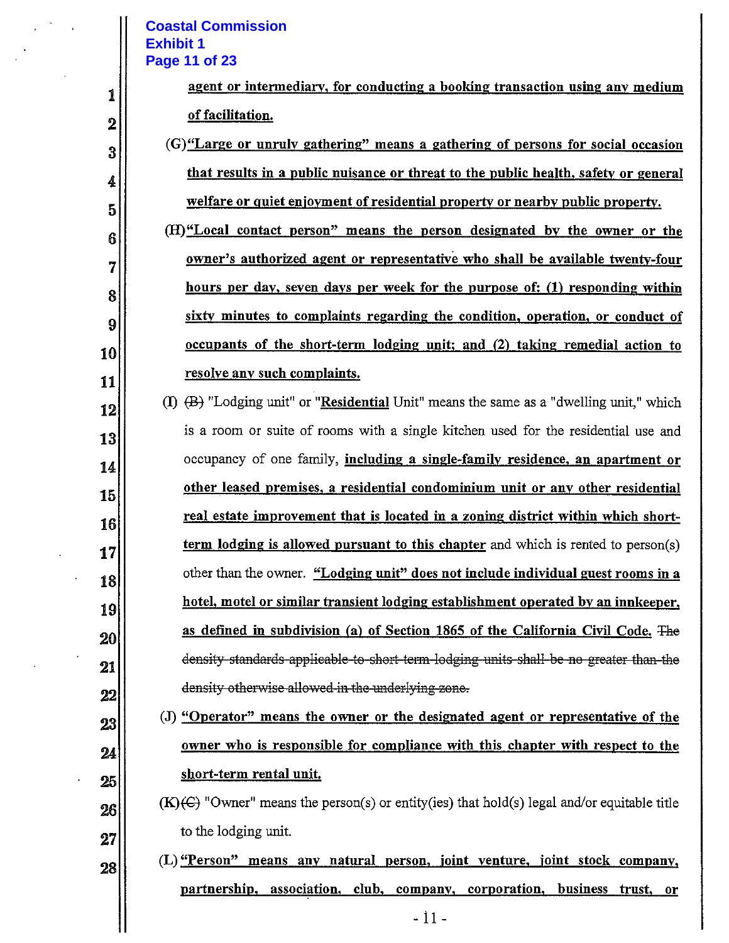#### **Coastal Commission Exhibit 1** Page 11 of 23

1

 $\boldsymbol{2}$ 

 $\mathbf{3}$ 

4

5

6

7

8

9

10

11

12

13

14

15

16

17

18

19

20

21

 $22$ 

23

24

25

26

 $27$ 

28

| agent or intermediary, for conducting a booking transaction using any medium |  |  |  |
|------------------------------------------------------------------------------|--|--|--|
| of facilitation.                                                             |  |  |  |

(G) "Large or unruly gathering" means a gathering of persons for social occasion that results in a public nuisance or threat to the public health, safety or general welfare or quiet enjoyment of residential property or nearby public property.

(H)"Local contact person" means the person designated by the owner or the owner's authorized agent or representative who shall be available twenty-four hours per day, seven days per week for the purpose of: (1) responding within sixty minutes to complaints regarding the condition, operation, or conduct of occupants of the short-term lodging unit; and (2) taking remedial action to resolve any such complaints.

(I)  $(B)$  "Lodging unit" or "Residential Unit" means the same as a "dwelling unit," which is a room or suite of rooms with a single kitchen used for the residential use and occupancy of one family, including a single-family residence, an apartment or other leased premises, a residential condominium unit or any other residential real estate improvement that is located in a zoning district within which shortterm lodging is allowed pursuant to this chapter and which is rented to person(s) other than the owner. "Lodging unit" does not include individual guest rooms in a hotel, motel or similar transient lodging establishment operated by an innkeeper, as defined in subdivision (a) of Section 1865 of the California Civil Code. The density standards applicable to short term lodging units shall be no greater than the density otherwise allowed in the underlying zone.

(J) "Operator" means the owner or the designated agent or representative of the owner who is responsible for compliance with this chapter with respect to the short-term rental unit.

 $(K)$  "Owner" means the person(s) or entity(ies) that hold(s) legal and/or equitable title to the lodging unit.

(L) "Person" means any natural person, joint venture, joint stock company, partnership, association, club, company, corporation, business trust, or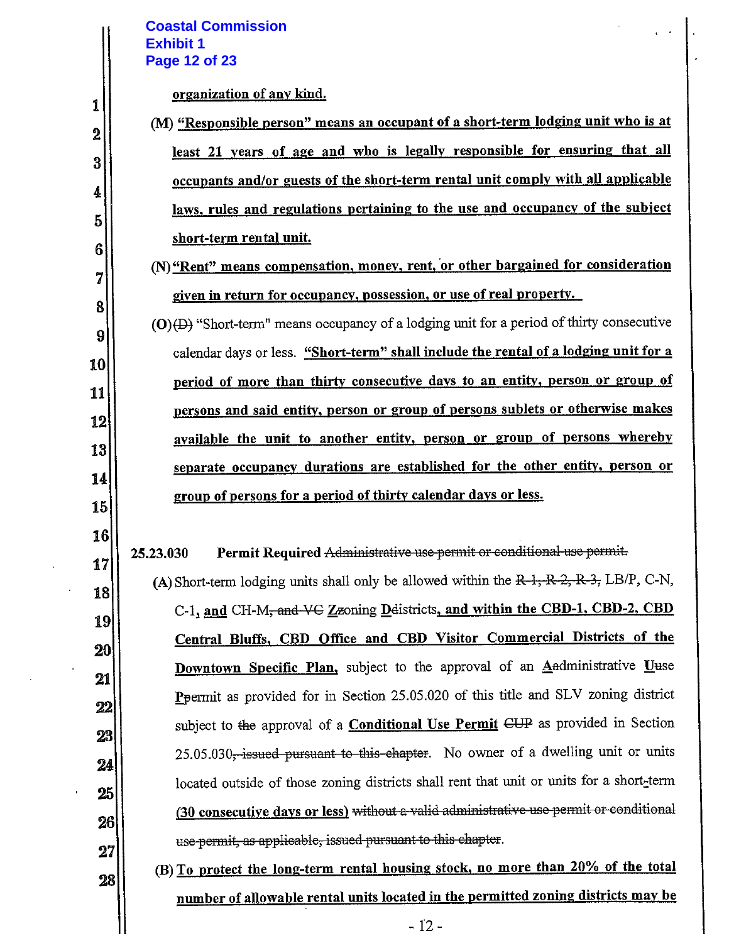## **Coastal Commission Exhibit 1** Page 12 of 23

1

 $\overline{2}$ 

3

4

5

 $6\phantom{1}$ 

7

8

9

10

11

12

13

14

15

16

17

18

19

20

21

 $22$ 

23

24

25

26

#### organization of any kind.

(M) "Responsible person" means an occupant of a short-term lodging unit who is at least 21 years of age and who is legally responsible for ensuring that all occupants and/or guests of the short-term rental unit comply with all applicable laws, rules and regulations pertaining to the use and occupancy of the subject short-term rental unit.

(N) "Rent" means compensation, money, rent, or other bargained for consideration given in return for occupancy, possession, or use of real property.

 $(O)$  (D) "Short-term" means occupancy of a lodging unit for a period of thirty consecutive calendar days or less. "Short-term" shall include the rental of a lodging unit for a period of more than thirty consecutive days to an entity, person or group of persons and said entity, person or group of persons sublets or otherwise makes available the unit to another entity, person or group of persons whereby separate occupancy durations are established for the other entity, person or group of persons for a period of thirty calendar days or less.

Permit Required Administrative use permit or conditional use permit. 25.23.030

(A) Short-term lodging units shall only be allowed within the  $R-1, R-2, R-3$ , LB/P, C-N, C-1, and CH-M<sub>2</sub> and VC Zzoning Delistricts, and within the CBD-1, CBD-2, CBD Central Bluffs, CBD Office and CBD Visitor Commercial Districts of the **Downtown Specific Plan,** subject to the approval of an Anadministrative Uuse Ppermit as provided for in Section 25.05.020 of this title and SLV zoning district subject to the approval of a **Conditional Use Permit** CUP as provided in Section 25.05.030<del>, issued pursuant to this-chapter</del>. No owner of a dwelling unit or units located outside of those zoning districts shall rent that unit or units for a short-term (30 consecutive days or less) without a valid administrative use permit or conditional use-permit, as applicable, issued pursuant to this chapter.

 $\bf 27$ (B) To protect the long-term rental housing stock, no more than 20% of the total 28 number of allowable rental units located in the permitted zoning districts may be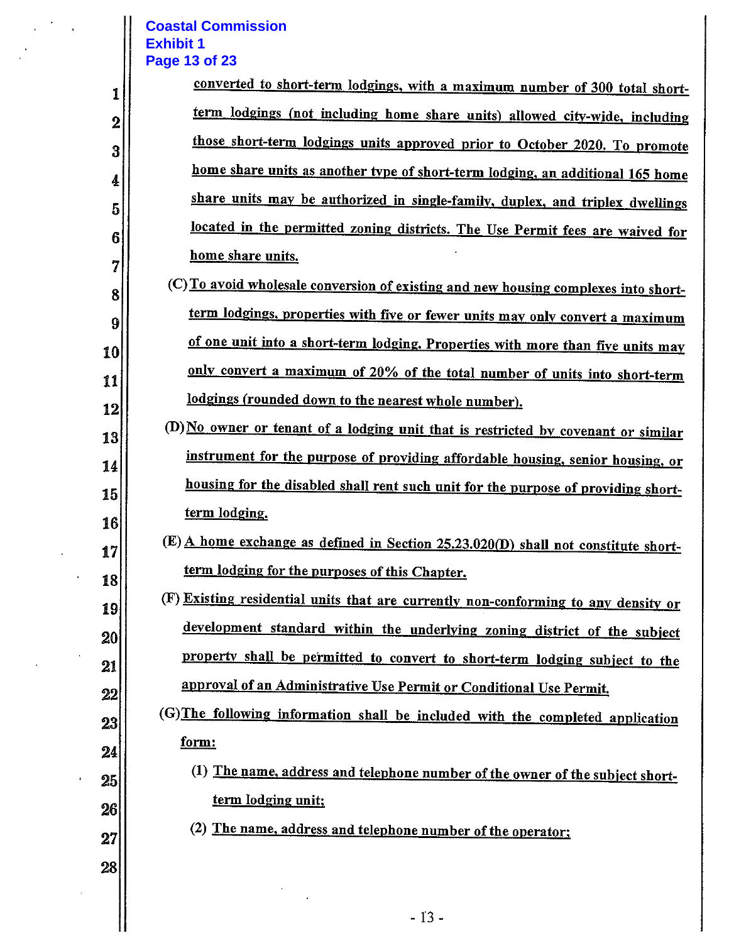#### **Coastal Commission Exhibit 1 Page 13 of 23**

1

 $\bf{2}$ 

3

4

5

6

7

8

9

10

11

12

13

14

15

16

17

18

19

20

21

 $22\,$ 

23

24

25

26

| converted to short-term lodgings, with a maximum number of 300 total short-    |
|--------------------------------------------------------------------------------|
| term lodgings (not including home share units) allowed city-wide, including    |
| those short-term lodgings units approved prior to October 2020. To promote     |
| home share units as another type of short-term lodging, an additional 165 home |
| share units may be authorized in single-family, duplex, and triplex dwellings  |
| located in the permitted zoning districts. The Use Permit fees are waived for  |
| home share units.                                                              |

- (C) To avoid wholesale conversion of existing and new housing complexes into shortterm lodgings, properties with five or fewer units may only convert a maximum of one unit into a short-term lodging. Properties with more than five units may only convert a maximum of 20% of the total number of units into short-term lodgings (rounded down to the nearest whole number).
- (D) No owner or tenant of a lodging unit that is restricted by covenant or similar instrument for the purpose of providing affordable housing, senior housing, or housing for the disabled shall rent such unit for the purpose of providing shortterm lodging.
	- $(E)$  A home exchange as defined in Section 25.23.020(D) shall not constitute shortterm lodging for the purposes of this Chapter.
	- (F) Existing residential units that are currently non-conforming to any density or development standard within the underlying zoning district of the subject property shall be permitted to convert to short-term lodging subject to the approval of an Administrative Use Permit or Conditional Use Permit.
		- (G) The following information shall be included with the completed application form:
			- (1) The name, address and telephone number of the owner of the subject shortterm lodging unit;
- 27

28

(2) The name, address and telephone number of the operator;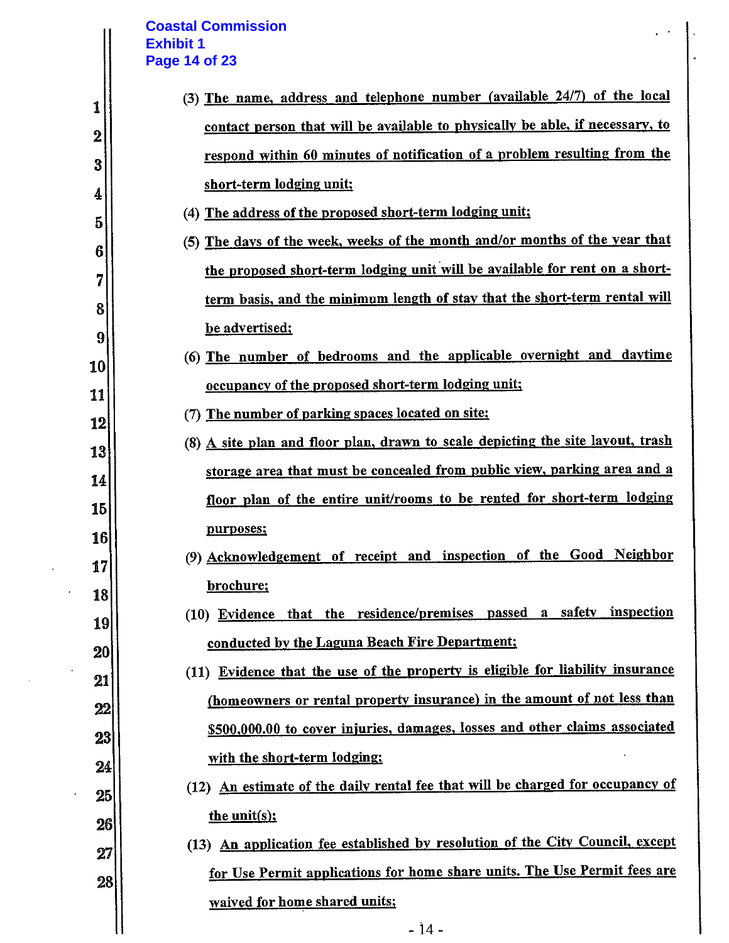## **Coastal Commission Exhibit 1 Page 14 of 23**

 $\mathcal{L}$ 

 $\ddot{\phantom{a}}$ 

 $\sim$   $\alpha$ 

 $\hat{\mathbf{r}}$ 

|          | <b>Coastal Commission</b><br><b>Exhibit 1</b>                                                                                                              |
|----------|------------------------------------------------------------------------------------------------------------------------------------------------------------|
|          | <b>Page 14 of 23</b>                                                                                                                                       |
| 1        | (3) The name, address and telephone number (available 24/7) of the local                                                                                   |
| $\bf{2}$ | contact person that will be available to physically be able, if necessary, to                                                                              |
| 3        | respond within 60 minutes of notification of a problem resulting from the                                                                                  |
| 4        | short-term lodging unit;                                                                                                                                   |
| 5        | (4) The address of the proposed short-term lodging unit;                                                                                                   |
| 6        | (5) The days of the week, weeks of the month and/or months of the year that                                                                                |
| 7        | the proposed short-term lodging unit will be available for rent on a short-                                                                                |
| 8        | term basis, and the minimum length of stay that the short-term rental will                                                                                 |
| 9        | be advertised;                                                                                                                                             |
| 10       | (6) The number of bedrooms and the applicable overnight and daytime                                                                                        |
| 11       | occupancy of the proposed short-term lodging unit;                                                                                                         |
| 12       | The number of parking spaces located on site:<br>(7)                                                                                                       |
| 13       | (8) A site plan and floor plan, drawn to scale depicting the site layout, trash                                                                            |
| 14       | storage area that must be concealed from public view, parking area and a                                                                                   |
| 15       | floor plan of the entire unit/rooms to be rented for short-term lodging                                                                                    |
| 16       | purposes;                                                                                                                                                  |
| 17       | (9) Acknowledgement of receipt and inspection of the Good Neighbor                                                                                         |
| 18       | brochure;                                                                                                                                                  |
| 19       | (10) Evidence that the residence/premises passed a safety inspection                                                                                       |
| 20       | conducted by the Laguna Beach Fire Department:                                                                                                             |
| 21       | (11) Evidence that the use of the property is eligible for liability insurance                                                                             |
| 22       | (homeowners or rental property insurance) in the amount of not less than                                                                                   |
| 23       | \$500,000.00 to cover injuries, damages, losses and other claims associated                                                                                |
| 24       | with the short-term lodging;                                                                                                                               |
| 25       | (12) An estimate of the daily rental fee that will be charged for occupancy of                                                                             |
| 26       | the unit(s);                                                                                                                                               |
| 27       | (13) An application fee established by resolution of the City Council, except<br>for Use Permit applications for home share units. The Use Permit fees are |
| 28       |                                                                                                                                                            |
|          | waived for home shared units;<br>$-14$ -                                                                                                                   |
|          |                                                                                                                                                            |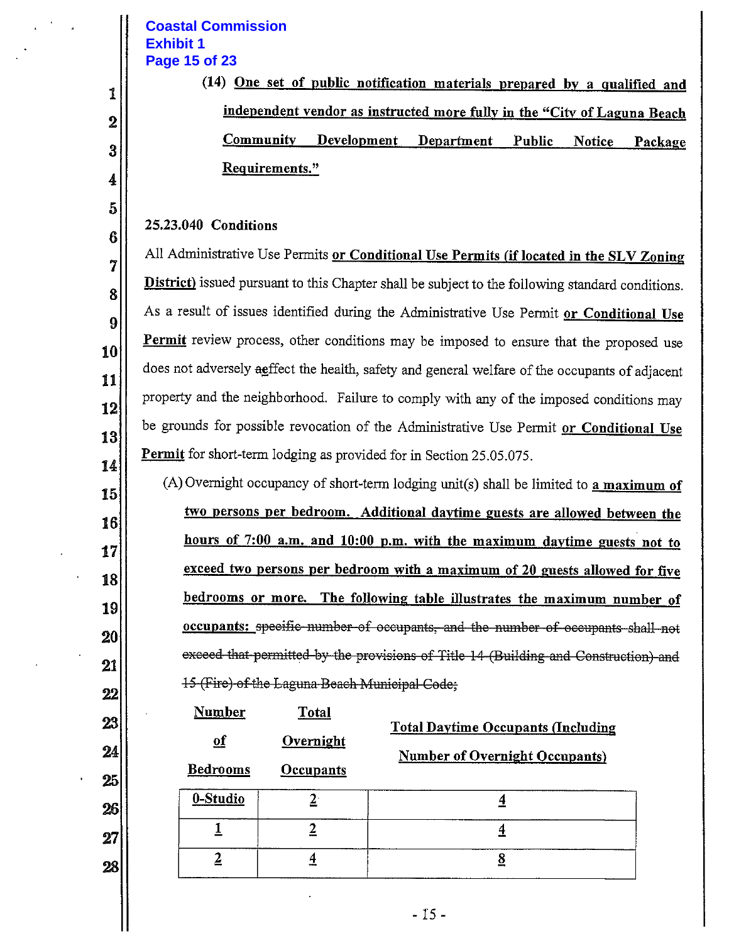# **Coastal Commission Exhibit 1** Page 15 of 23

1

 $\bf{2}$ 

3

4

5

6

7

8

9

10

11

12

13

14

15

16

17

18

19

 $20$ 

21

22

23

24

25

26

27

28

(14) <u>One set of public notification</u> materials prepared by a qualified and independent vendor as instructed more fully in the "City of Laguna Beach Community Development Department **Public Notice** Package Requirements."

#### 25.23.040 Conditions

All Administrative Use Permits or Conditional Use Permits (if located in the SLV Zoning **District**) issued pursuant to this Chapter shall be subject to the following standard conditions. As a result of issues identified during the Administrative Use Permit or Conditional Use Permit review process, other conditions may be imposed to ensure that the proposed use does not adversely aeffect the health, safety and general welfare of the occupants of adjacent property and the neighborhood. Failure to comply with any of the imposed conditions may be grounds for possible revocation of the Administrative Use Permit or Conditional Use **Permit** for short-term lodging as provided for in Section 25.05.075.

(A) Overnight occupancy of short-term lodging unit(s) shall be limited to a maximum of two persons per bedroom. Additional daytime guests are allowed between the hours of 7:00 a.m. and 10:00 p.m. with the maximum daytime guests not to exceed two persons per bedroom with a maximum of 20 guests allowed for five bedrooms or more. The following table illustrates the maximum number of occupants: specific-number-of occupants, and the number of occupants shall not exceed that permitted by the provisions of Title 14 (Building and Construction) and 15 (Fire) of the Laguna Beach Municipal Code:

| <u>Number</u><br>$\underline{\mathbf{of}}$<br><b>Bedrooms</b> | <u>Total</u><br>Overnight<br>Occupants | <b>Total Daytime Occupants (Including</b><br><b>Number of Overnight Occupants)</b> |
|---------------------------------------------------------------|----------------------------------------|------------------------------------------------------------------------------------|
| 0-Studio                                                      |                                        |                                                                                    |
|                                                               |                                        |                                                                                    |
|                                                               | 4                                      | 8                                                                                  |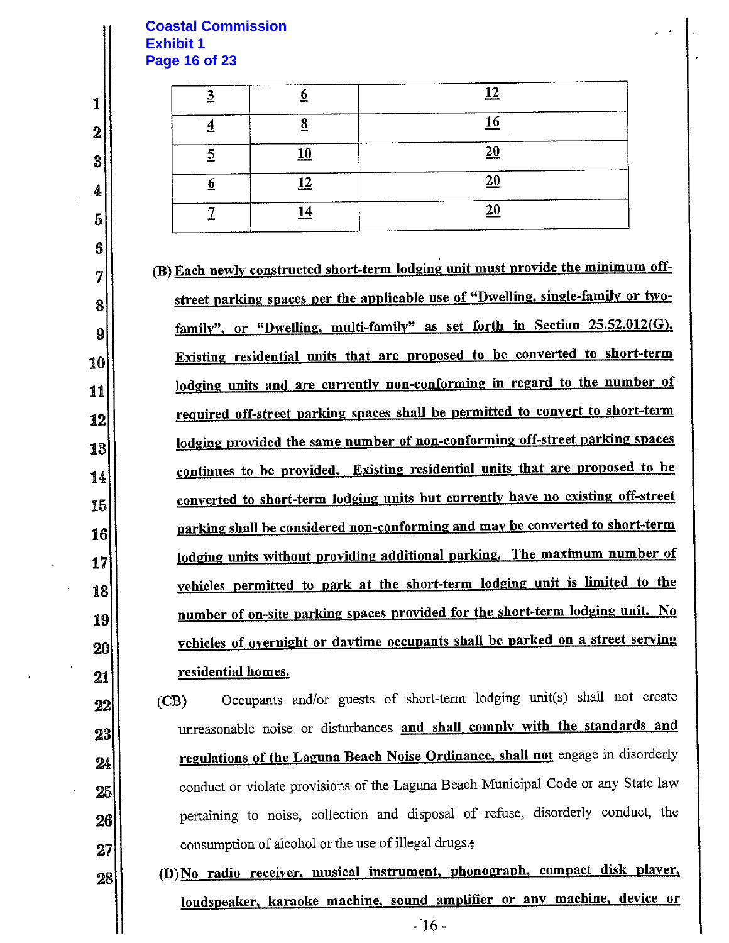#### **Coastal Commission Exhibit 1 Page 16 of 23**

1

 $\overline{2}$ 

3

4

5

6

7

8

9

10

11

12

13

14

15

16

17

18

19

20

 $21$ 

22

23

24

25

 $26$ 

27

|         | <b>A</b>   |  |
|---------|------------|--|
|         |            |  |
| ۱Λ<br>ິ | 20         |  |
|         | 20         |  |
|         | $\Delta$ r |  |
|         |            |  |

(B) Each newly constructed short-term lodging unit must provide the minimum offstreet parking spaces per the applicable use of "Dwelling, single-family or twofamily", or "Dwelling, multi-family" as set forth in Section 25.52.012(G). Existing residential units that are proposed to be converted to short-term lodging units and are currently non-conforming in regard to the number of required off-street parking spaces shall be permitted to convert to short-term lodging provided the same number of non-conforming off-street parking spaces continues to be provided. Existing residential units that are proposed to be converted to short-term lodging units but currently have no existing off-street parking shall be considered non-conforming and may be converted to short-term lodging units without providing additional parking. The maximum number of vehicles permitted to park at the short-term lodging unit is limited to the number of on-site parking spaces provided for the short-term lodging unit. No vehicles of overnight or daytime occupants shall be parked on a street serving residential homes.

Occupants and/or guests of short-term lodging unit(s) shall not create  $(CB)$ unreasonable noise or disturbances and shall comply with the standards and regulations of the Laguna Beach Noise Ordinance, shall not engage in disorderly conduct or violate provisions of the Laguna Beach Municipal Code or any State law pertaining to noise, collection and disposal of refuse, disorderly conduct, the consumption of alcohol or the use of illegal drugs.;

(D) No radio receiver, musical instrument, phonograph, compact disk player, 28 loudspeaker, karaoke machine, sound amplifier or any machine, device or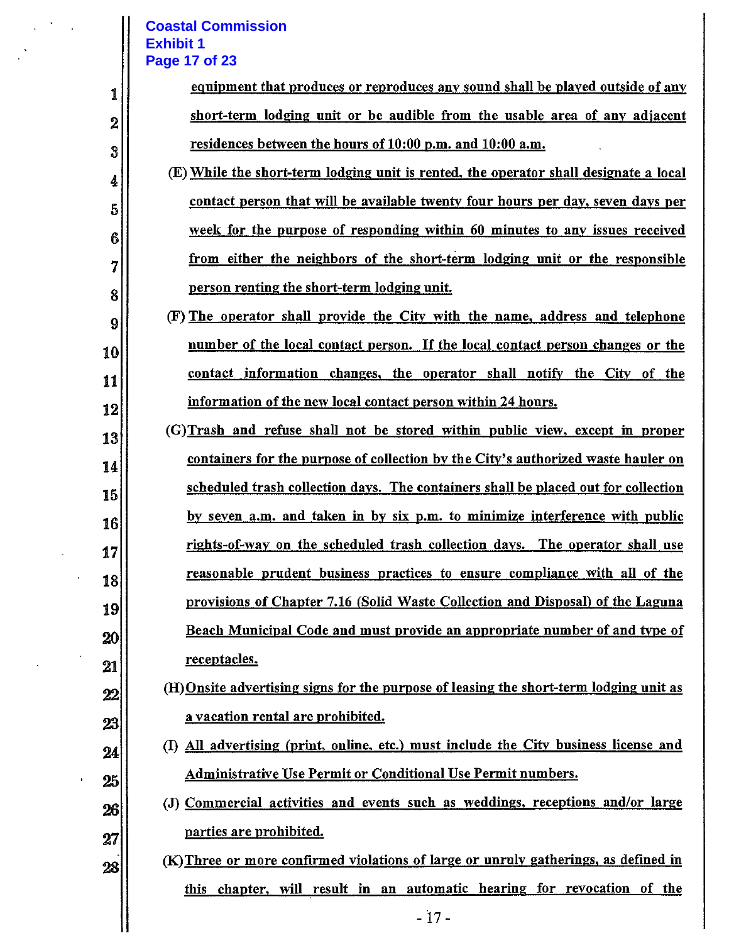# **Coastal Commission Exhibit 1**

 $\mathcal{A}$ 

|                  | <b>Coastal Commission</b><br><b>Exhibit 1</b><br>Page 17 of 23                          |
|------------------|-----------------------------------------------------------------------------------------|
| 1                | equipment that produces or reproduces any sound shall be played outside of any          |
| $\boldsymbol{2}$ | short-term lodging unit or be audible from the usable area of any adjacent              |
| 3                | residences between the hours of 10:00 p.m. and 10:00 a.m.                               |
| 4                | (E) While the short-term lodging unit is rented, the operator shall designate a local   |
| 5                | contact person that will be available twenty four hours per day, seven days per         |
| 6                | week for the purpose of responding within 60 minutes to any issues received             |
| 7                | from either the neighbors of the short-term lodging unit or the responsible             |
| 8                | person renting the short-term lodging unit.                                             |
| 9                | (F) The operator shall provide the City with the name, address and telephone            |
| 10               | number of the local contact person. If the local contact person changes or the          |
| 11               | contact information changes, the operator shall notify the City of the                  |
| 12               | information of the new local contact person within 24 hours.                            |
| 13               | (G) Trash and refuse shall not be stored within public view, except in proper           |
| 14               | containers for the purpose of collection by the City's authorized waste hauler on       |
| 15               | scheduled trash collection days. The containers shall be placed out for collection      |
| 16               | by seven a.m. and taken in by six p.m. to minimize interference with public             |
| 17               | rights-of-way on the scheduled trash collection days. The operator shall use            |
| 18               | reasonable prudent business practices to ensure compliance with all of the              |
| 19               | provisions of Chapter 7.16 (Solid Waste Collection and Disposal) of the Laguna          |
| 20               | Beach Municipal Code and must provide an appropriate number of and type of              |
| 21               | <u>receptacles.</u>                                                                     |
| 22               | (H) Onsite advertising signs for the purpose of leasing the short-term lodging unit as  |
| 23               | a vacation rental are prohibited.                                                       |
| 24               | All advertising (print, online, etc.) must include the City business license and<br>(I) |
| 25               | <b>Administrative Use Permit or Conditional Use Permit numbers.</b>                     |
| 26               | (J) Commercial activities and events such as weddings, receptions and/or large          |
| 27               | parties are prohibited.                                                                 |
| 28               | (K) Three or more confirmed violations of large or unruly gatherings, as defined in     |
|                  | this chapter, will result in an automatic hearing for revocation of the                 |
|                  | $-17-$                                                                                  |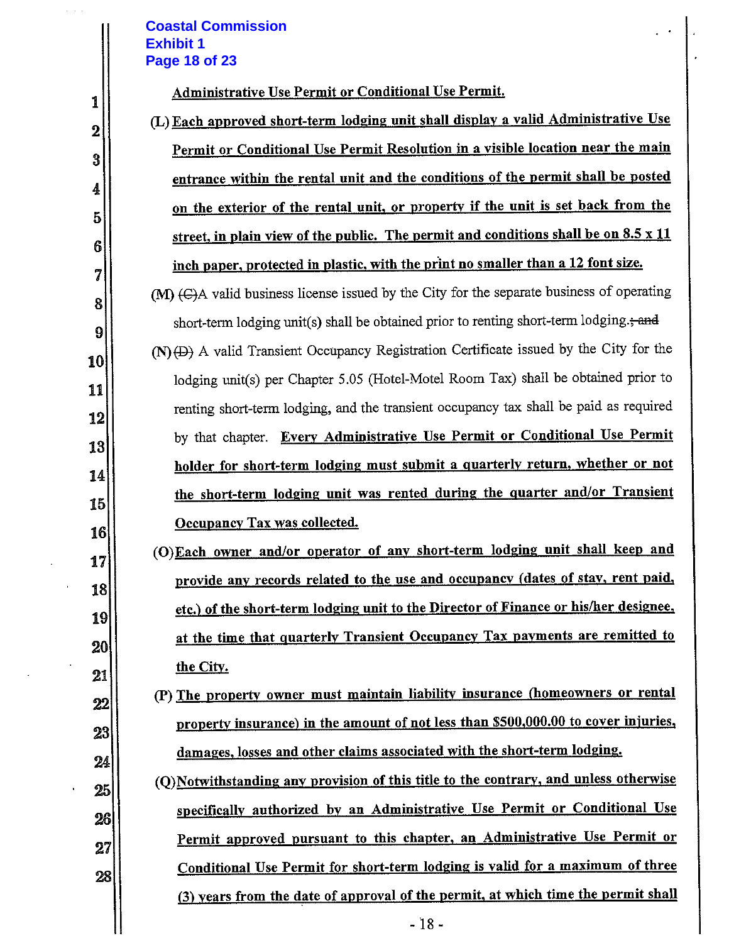## **Coastal Commission Exhibit 1 Page 18 of 23**

 $\frac{1}{2}$  ,  $\frac{1}{2}$ 

J.

 $\bar{\phantom{a}}$ 

 $\sim$   $\lambda$ 

 $\mathbf{r}$ 

|          | <b>Coastal Commission</b><br><b>Exhibit 1</b>                                             |
|----------|-------------------------------------------------------------------------------------------|
|          | <b>Page 18 of 23</b>                                                                      |
| 1        | Administrative Use Permit or Conditional Use Permit.                                      |
| $\bf{2}$ | (L) Each approved short-term lodging unit shall display a valid Administrative Use        |
| 3        | Permit or Conditional Use Permit Resolution in a visible location near the main           |
| 4        | entrance within the rental unit and the conditions of the permit shall be posted          |
| 5        | on the exterior of the rental unit, or property if the unit is set back from the          |
|          | street, in plain view of the public. The permit and conditions shall be on 8.5 x 11       |
|          | inch paper, protected in plastic, with the print no smaller than a 12 font size.          |
|          | (M) (G)A valid business license issued by the City for the separate business of operating |
|          | short-term lodging unit(s) shall be obtained prior to renting short-term lodging.; and    |
|          | $(N)$ (D) A valid Transient Occupancy Registration Certificate issued by the City for the |
|          | lodging unit(s) per Chapter 5.05 (Hotel-Motel Room Tax) shall be obtained prior to        |
|          | renting short-term lodging, and the transient occupancy tax shall be paid as required     |
|          | Every Administrative Use Permit or Conditional Use Permit<br>by that chapter.             |
|          | holder for short-term lodging must submit a quarterly return, whether or not              |
|          | the short-term lodging unit was rented during the quarter and/or Transient                |
|          | <b>Occupancy Tax was collected.</b>                                                       |
|          | (O)Each owner and/or operator of any short-term lodging unit shall keep and               |
|          | provide any records related to the use and occupancy (dates of stay, rent paid,           |
|          | etc.) of the short-term lodging unit to the Director of Finance or his/her designee,      |
|          | at the time that quarterly Transient Occupancy Tax payments are remitted to               |
|          | the City.                                                                                 |
|          | (P) The property owner must maintain liability insurance (homeowners or rental            |
|          | property insurance) in the amount of not less than \$500,000.00 to cover injuries,        |
|          | damages, losses and other claims associated with the short-term lodging.                  |
|          | (Q) Notwithstanding any provision of this title to the contrary, and unless otherwise     |
|          | specifically authorized by an Administrative Use Permit or Conditional Use                |
|          | Permit approved pursuant to this chapter, an Administrative Use Permit or                 |
|          | Conditional Use Permit for short-term lodging is valid for a maximum of three             |
|          | (3) years from the date of approval of the permit, at which time the permit shall         |
|          | $-18-$                                                                                    |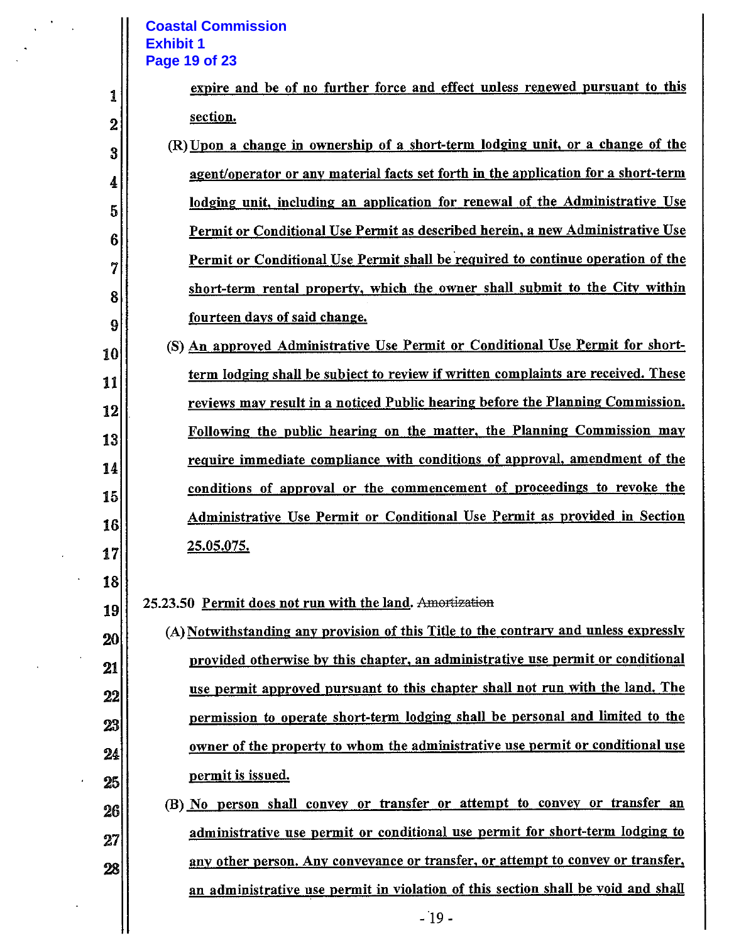#### **Coastal Commission Exhibit 1 Page 19 of 23**

 $\ddot{\phantom{1}}$ 

 $\overline{a}$ 

|                  | <b>Coastal Commission</b><br><b>Exhibit 1</b>                                        |
|------------------|--------------------------------------------------------------------------------------|
|                  | Page 19 of 23                                                                        |
| 1                | expire and be of no further force and effect unless renewed pursuant to this         |
| $\boldsymbol{2}$ | section.                                                                             |
| 3                | (R) Upon a change in ownership of a short-term lodging unit, or a change of the      |
| 4                | agent/operator or any material facts set forth in the application for a short-term   |
| 5                | lodging unit, including an application for renewal of the Administrative Use         |
| 6                | Permit or Conditional Use Permit as described herein, a new Administrative Use       |
| 7                | Permit or Conditional Use Permit shall be required to continue operation of the      |
| 8                | short-term rental property, which the owner shall submit to the City within          |
| 9                | fourteen days of said change.                                                        |
| 10               | (S) An approved Administrative Use Permit or Conditional Use Permit for short-       |
| 11               | term lodging shall be subject to review if written complaints are received. These    |
| 12               | reviews may result in a noticed Public hearing before the Planning Commission.       |
| 13               | Following the public hearing on the matter, the Planning Commission may              |
| 14               | require immediate compliance with conditions of approval, amendment of the           |
| 15               | conditions of approval or the commencement of proceedings to revoke the              |
| 16               | Administrative Use Permit or Conditional Use Permit as provided in Section           |
| 17               | <u>25.05.075.</u>                                                                    |
| 18               |                                                                                      |
| 19               | 25.23.50 Permit does not run with the land. Amortization                             |
| 20               | (A) Notwithstanding any provision of this Title to the contrary and unless expressly |
| 21               | provided otherwise by this chapter, an administrative use permit or conditional      |
| 22               | use permit approved pursuant to this chapter shall not run with the land. The        |
| 23               | permission to operate short-term lodging shall be personal and limited to the        |
| 24               | owner of the property to whom the administrative use permit or conditional use       |
| 25               | permit is issued.                                                                    |
| 26               | (B) No person shall convey or transfer or attempt to convey or transfer an           |
| 27               | administrative use permit or conditional use permit for short-term lodging to        |
| 28               | any other person. Any conveyance or transfer, or attempt to convey or transfer,      |
|                  | an administrative use permit in violation of this section shall be void and shall    |
|                  | $-19-$                                                                               |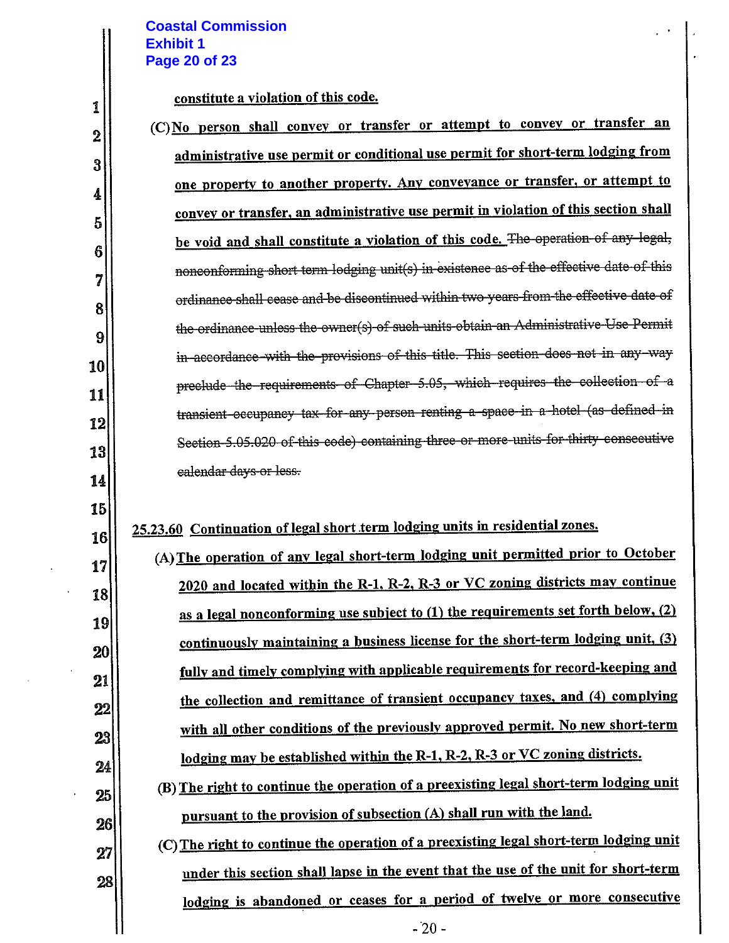## **Coastal Commission Exhibit 1 Page 20 of 23**

constitute a violation of this code.

| $\boldsymbol{2}$ | (C) No person shall convey or transfer or attempt to convey or transfer an             |
|------------------|----------------------------------------------------------------------------------------|
| 3                | administrative use permit or conditional use permit for short-term lodging from        |
| 4                | one property to another property. Any conveyance or transfer, or attempt to            |
| 5                | convey or transfer, an administrative use permit in violation of this section shall    |
| 6                | be void and shall constitute a violation of this code. The operation of any legal,     |
|                  | nonconforming short term lodging unit(s) in existence as of the effective date of this |
| 7                | ordinance shall cease and be discontinued within two years from the effective date of  |
| 8                | the ordinance unless the owner(s) of such units obtain an Administrative Use Permit    |
| 9                | in accordance with the provisions of this title. This section does not in any way      |
| 10               | preclude the requirements of Chapter 5.05, which requires the collection of a          |
| 11               | transient-occupancy tax-for-any-person-renting a space-in a hotel (as defined in       |
| 12               | Section-5.05.020 of this code) containing three or more units for thirty consecutive   |
| 13               |                                                                                        |
| 14               | ealendar days or less.                                                                 |
| 15               |                                                                                        |

# 25.23.60 Continuation of legal short term lodging units in residential zones.

| (A) The operation of any legal short-term lodging unit permitted prior to October      |
|----------------------------------------------------------------------------------------|
| 2020 and located within the R-1, R-2, R-3 or VC zoning districts may continue          |
| as a legal nonconforming use subject to (1) the requirements set forth below, (2)      |
| continuously maintaining a business license for the short-term lodging unit, (3)       |
| fully and timely complying with applicable requirements for record-keeping and         |
| the collection and remittance of transient occupancy taxes, and (4) complying          |
| with all other conditions of the previously approved permit. No new short-term         |
| lodging may be established within the R-1, R-2, R-3 or VC zoning districts.            |
| (B) The right to continue the operation of a preexisting legal short-term lodging unit |
| pursuant to the provision of subsection (A) shall run with the land.                   |
|                                                                                        |

(C) The right to continue the operation of a preexisting legal short-term lodging unit under this section shall lapse in the event that the use of the unit for short-term lodging is abandoned or ceases for a period of twelve or more consecutive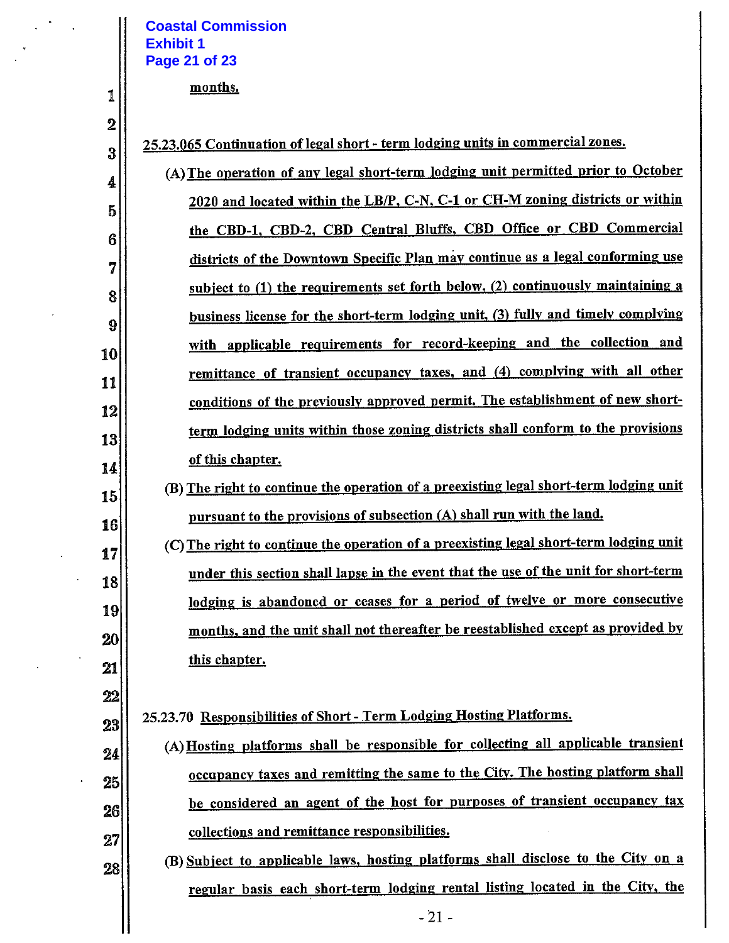#### **Coastal Commission Exhibit 1** Page 21 of 23

#### months.

1

 $\boldsymbol{2}$ 

3

17

18

19

20

21

 $22$ 

23

24

25

26

 $27$ 

28

25.23.065 Continuation of legal short - term lodging units in commercial zones.

(A) The operation of any legal short-term lodging unit permitted prior to October 4 2020 and located within the LB/P, C-N, C-1 or CH-M zoning districts or within  $\overline{5}$ the CBD-1, CBD-2, CBD Central Bluffs, CBD Office or CBD Commercial 6 districts of the Downtown Specific Plan may continue as a legal conforming use 7 subject to (1) the requirements set forth below, (2) continuously maintaining a 8 business license for the short-term lodging unit, (3) fully and timely complying 9 with applicable requirements for record-keeping and the collection and 10 remittance of transient occupancy taxes, and (4) complying with all other 11 conditions of the previously approved permit. The establishment of new short-12 term lodging units within those zoning districts shall conform to the provisions 13 of this chapter. 14

- (B) The right to continue the operation of a preexisting legal short-term lodging unit 15 pursuant to the provisions of subsection (A) shall run with the land. 16
	- (C) The right to continue the operation of a preexisting legal short-term lodging unit under this section shall lapse in the event that the use of the unit for short-term lodging is abandoned or ceases for a period of twelve or more consecutive months, and the unit shall not thereafter be reestablished except as provided by this chapter.

25.23.70 Responsibilities of Short - Term Lodging Hosting Platforms.

- (A) Hosting platforms shall be responsible for collecting all applicable transient occupancy taxes and remitting the same to the City. The hosting platform shall be considered an agent of the host for purposes of transient occupancy tax collections and remittance responsibilities.
- (B) Subject to applicable laws, hosting platforms shall disclose to the City on a regular basis each short-term lodging rental listing located in the City, the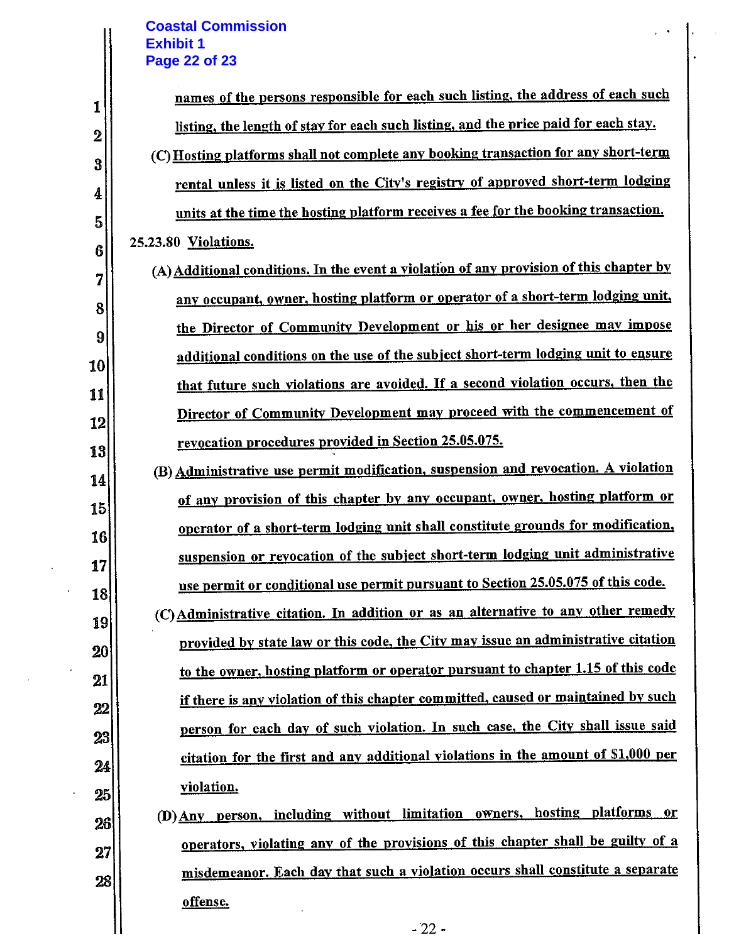# **Coastal Commission Exhibit 1 Page 22 of 23**

Н

 $\ddot{\phantom{0}}$ 

 $\overline{\phantom{a}}$ 

 $\bar{\psi}$ 

| 1        | names of the persons responsible for each such listing, the address of each such        |
|----------|-----------------------------------------------------------------------------------------|
| $\bf{2}$ | listing, the length of stay for each such listing, and the price paid for each stay.    |
| 3        | (C) Hosting platforms shall not complete any booking transaction for any short-term     |
| 4        | rental unless it is listed on the City's registry of approved short-term lodging        |
| 5        | units at the time the hosting platform receives a fee for the booking transaction.      |
| 6        | 25.23.80 Violations.                                                                    |
| 7        | (A) Additional conditions. In the event a violation of any provision of this chapter by |
| 8        | any occupant, owner, hosting platform or operator of a short-term lodging unit,         |
| 9        | the Director of Community Development or his or her designee may impose                 |
| 10       | additional conditions on the use of the subject short-term lodging unit to ensure       |
| 11       | that future such violations are avoided. If a second violation occurs, then the         |
| 12       | Director of Community Development may proceed with the commencement of                  |
| 13       | revocation procedures provided in Section 25.05.075.                                    |
| 14       | (B) Administrative use permit modification, suspension and revocation. A violation      |
| 15       | of any provision of this chapter by any occupant, owner, hosting platform or            |
| 16       | operator of a short-term lodging unit shall constitute grounds for modification,        |
| 17       | suspension or revocation of the subject short-term lodging unit administrative          |
| 18       | use permit or conditional use permit pursuant to Section 25.05.075 of this code.        |
| 19       | (C) Administrative citation. In addition or as an alternative to any other remedy       |
| 20       | provided by state law or this code, the City may issue an administrative citation       |
| 21       | to the owner, hosting platform or operator pursuant to chapter 1.15 of this code        |
| 22       | if there is any violation of this chapter committed, caused or maintained by such       |
| 23       | person for each day of such violation. In such case, the City shall issue said          |
| 24       | citation for the first and any additional violations in the amount of \$1,000 per       |
| 25       | violation.                                                                              |
| 26       | person, including without limitation owners, hosting platforms or<br>$(D)$ Any          |
| 27       | operators, violating any of the provisions of this chapter shall be guilty of a         |
| 28       | misdemeanor. Each day that such a violation occurs shall constitute a separate          |
|          | offense.                                                                                |
|          | $-22-$                                                                                  |

 $\ddot{\phantom{a}}$